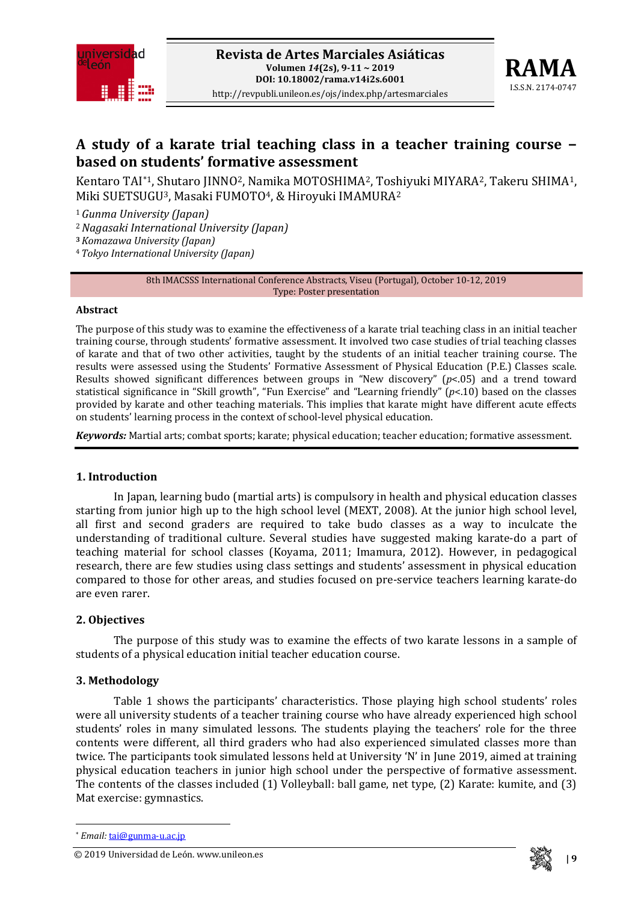



# **A study of a karate trial teaching class in a teacher training course − based on students' formative assessment**

Kentaro TAI[\\*](#page-0-0)1, Shutaro JINNO2, Namika MOTOSHIMA2, Toshiyuki MIYARA2, Takeru SHIMA1, Miki SUETSUGU3, Masaki FUMOTO4, & Hiroyuki IMAMURA2

<sup>1</sup>*Gunma University (Japan)*

<sup>2</sup>*Nagasaki International University (Japan)*

**<sup>3</sup>***Komazawa University (Japan)*

<sup>4</sup>*Tokyo International University (Japan)*

8th IMACSSS International Conference Abstracts, Viseu (Portugal), October 10-12, 2019 Type: Poster presentation

#### **Abstract**

The purpose of this study was to examine the effectiveness of a karate trial teaching class in an initial teacher training course, through students' formative assessment. It involved two case studies of trial teaching classes of karate and that of two other activities, taught by the students of an initial teacher training course. The results were assessed using the Students' Formative Assessment of Physical Education (P.E.) Classes scale. Results showed significant differences between groups in "New discovery" (*p*<.05) and a trend toward statistical significance in "Skill growth", "Fun Exercise" and "Learning friendly" (*p*<.10) based on the classes provided by karate and other teaching materials. This implies that karate might have different acute effects on students' learning process in the context of school-level physical education.

*Keywords:* Martial arts; combat sports; karate; physical education; teacher education; formative assessment.

# **1. Introduction**

In Japan, learning budo (martial arts) is compulsory in health and physical education classes starting from junior high up to the high school level (MEXT, 2008). At the junior high school level, all first and second graders are required to take budo classes as a way to inculcate the understanding of traditional culture. Several studies have suggested making karate-do a part of teaching material for school classes (Koyama, 2011; Imamura, 2012). However, in pedagogical research, there are few studies using class settings and students' assessment in physical education compared to those for other areas, and studies focused on pre-service teachers learning karate-do are even rarer.

# **2. Objectives**

The purpose of this study was to examine the effects of two karate lessons in a sample of students of a physical education initial teacher education course.

# **3. Methodology**

Table 1 shows the participants' characteristics. Those playing high school students' roles were all university students of a teacher training course who have already experienced high school students' roles in many simulated lessons. The students playing the teachers' role for the three contents were different, all third graders who had also experienced simulated classes more than twice. The participants took simulated lessons held at University 'N' in June 2019, aimed at training physical education teachers in junior high school under the perspective of formative assessment. The contents of the classes included (1) Volleyball: ball game, net type, (2) Karate: kumite, and (3) Mat exercise: gymnastics.

**.** 

<span id="page-0-0"></span><sup>© 2019</sup> **| 9** Universidad de León. www.unileon.es



<sup>\*</sup> *Email:* [tai@gunma-u.ac.jp](mailto:tai@gunma-u.ac.jp)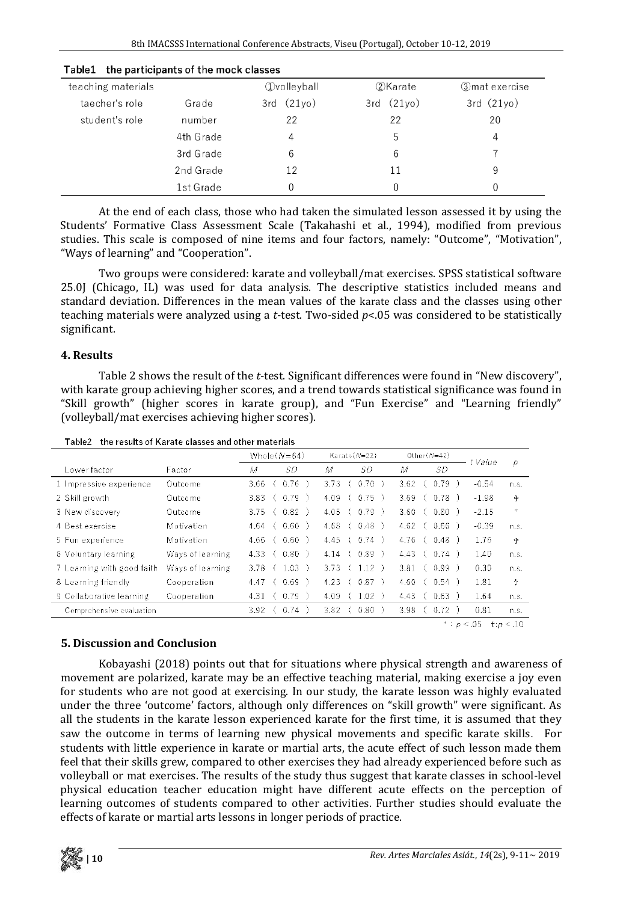| teaching materials |           | <b><i>Ovolleyball</i></b> | 2)Karate       | ③mat exercise |
|--------------------|-----------|---------------------------|----------------|---------------|
| taecher's role     | Grade     | $3rd$ $(21yo)$            | $3rd$ $(21yo)$ | 3rd(21yo)     |
| student's role     | number    | 22                        | 22             | 20            |
|                    | 4th Grade |                           | 5              |               |
|                    | 3rd Grade | 6                         | 6              |               |
|                    | 2nd Grade | 12                        | 11             | 9             |
|                    | 1st Grade |                           |                |               |

#### Table1 the participants of the mock classes

At the end of each class, those who had taken the simulated lesson assessed it by using the Students' Formative Class Assessment Scale (Takahashi et al., 1994), modified from previous studies. This scale is composed of nine items and four factors, namely: "Outcome", "Motivation", "Ways of learning" and "Cooperation".

Two groups were considered: karate and volleyball/mat exercises. SPSS statistical software 25.0J (Chicago, IL) was used for data analysis. The descriptive statistics included means and standard deviation. Differences in the mean values of the karate class and the classes using other teaching materials were analyzed using a *t*-test. Two-sided *p*<.05 was considered to be statistically significant.

#### **4. Results**

Table 2 shows the result of the *t*-test. Significant differences were found in "New discovery", with karate group achieving higher scores, and a trend towards statistical significance was found in "Skill growth" (higher scores in karate group), and "Fun Exercise" and "Learning friendly" (volleyball/mat exercises achieving higher scores).

|  |  | Table2 the results of Karate classes and other materials |  |  |
|--|--|----------------------------------------------------------|--|--|
|--|--|----------------------------------------------------------|--|--|

|                            |                  | Whole $(N=64)$ |                   | Karate(N=22)               |                      | Other $(N=42)$ |                            | t Value |      |
|----------------------------|------------------|----------------|-------------------|----------------------------|----------------------|----------------|----------------------------|---------|------|
| Lower factor               | Factor           | M              | SD                | M                          | SD                   | M              | SD                         |         | D    |
| 1 Impressive experience    | Outcome          | 3.66           | 0.76<br>$\sim$ 6  | 3.73                       | $0.70$ )             | 3.62           | (0.79)                     | $-0.54$ | n.s. |
| 2 Skill growth             | Outcome          | $3.83 -$       | $0.79$ )<br>-6    | 4.09                       | (0.75)               | 3.69           | (0.78)                     | $-1.98$ | 0€   |
| 3 New discovery            | Outcome          | $3.75$ (       | $0.82$ )          | 4.05                       | (0.79)               | $3.60 -$       | (0.80)                     | $-2.15$ | Ж.   |
| 4 Best exercise            | Motivation       | 4.64 (         | $0.60$ )          | 4.68                       | (0.48)               | 4.62           | (0.66)                     | $-0.39$ | n.s. |
| 5 Fun experience           | Motivation       | 4.66 (         | $0.60$ )          | $4.45 \left( 0.74 \right)$ |                      |                | 4.76 ( 0.48 )              | 1.76    | ╋    |
| 6 Voluntary learning       | Ways of learning | 4.33 (         | $0.80$ )          | 4.14                       | $0.89$ )             |                | 4.43(0.74)                 | 1.40    | n.S. |
| 7 Learning with good faith | Ways of learning |                | $3.78$ ( $1.03$ ) | $3.73 \left( 1.12 \right)$ |                      | 3.81           | ( 0.99 )                   | 0.30    | n.s. |
| 8 Learning friendly        | Cooperation      | 4.47 (         | $0.69$ )          | 4.23                       | (0.87)               |                | $4.60 \left( 0.54 \right)$ | 1.81    | Ť    |
| 9 Collaborative learning   | Cooperation      | 4.31           | $0.79$ )<br>-6    | 4.09                       | $1.02$ )             | 4.43           | (0.63)                     | 1.64.   | n.s. |
| Comprehensive evaluation   |                  | $3.92 -$       | 0.74              | 3.82                       | $0.80$ $\rightarrow$ | 3.98           | ( 0.72 )                   | 0.81    | n.s. |
| $* : p < 05$<br>$+ p < 10$ |                  |                |                   |                            |                      |                |                            |         |      |

#### **5. Discussion and Conclusion**

Kobayashi (2018) points out that for situations where physical strength and awareness of movement are polarized, karate may be an effective teaching material, making exercise a joy even for students who are not good at exercising. In our study, the karate lesson was highly evaluated under the three 'outcome' factors, although only differences on "skill growth" were significant. As all the students in the karate lesson experienced karate for the first time, it is assumed that they saw the outcome in terms of learning new physical movements and specific karate skills. For students with little experience in karate or martial arts, the acute effect of such lesson made them feel that their skills grew, compared to other exercises they had already experienced before such as volleyball or mat exercises. The results of the study thus suggest that karate classes in school-level physical education teacher education might have different acute effects on the perception of learning outcomes of students compared to other activities. Further studies should evaluate the effects of karate or martial arts lessons in longer periods of practice.